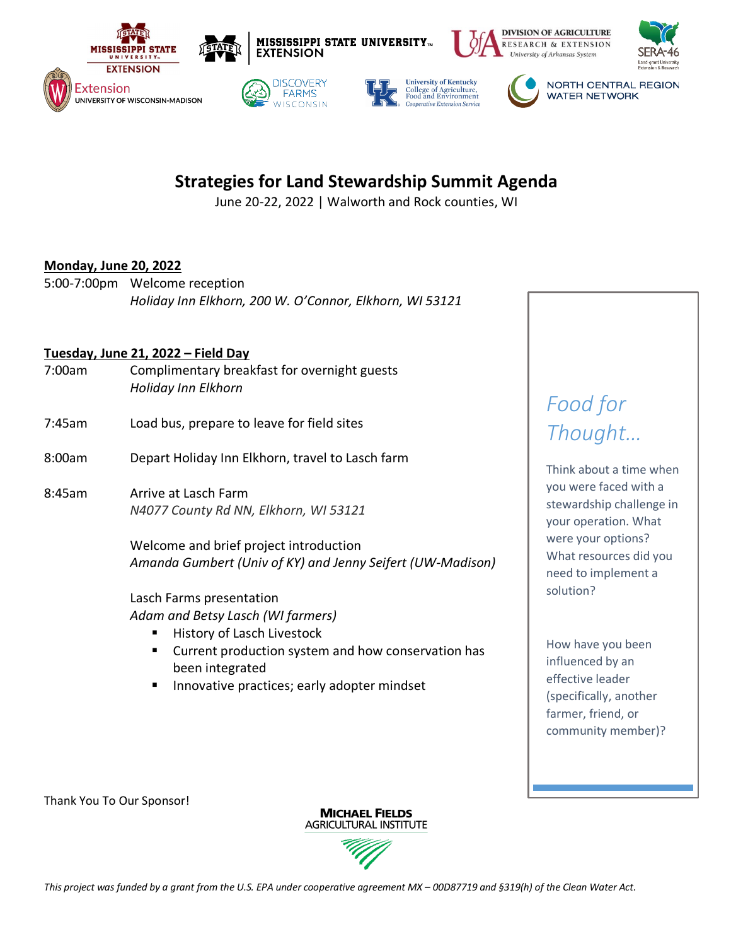

## **Strategies for Land Stewardship Summit Agenda**

June 20-22, 2022 | Walworth and Rock counties, WI

#### **Monday, June 20, 2022**

5:00-7:00pm Welcome reception *Holiday Inn Elkhorn, 200 W. O'Connor, Elkhorn, WI 53121*

#### **Tuesday, June 21, 2022 – Field Day**

- 7:00am Complimentary breakfast for overnight guests *Holiday Inn Elkhorn*
- 7:45am Load bus, prepare to leave for field sites
- 8:00am Depart Holiday Inn Elkhorn, travel to Lasch farm
- 8:45am Arrive at Lasch Farm *N4077 County Rd NN, Elkhorn, WI 53121*

Welcome and brief project introduction *Amanda Gumbert (Univ of KY) and Jenny Seifert (UW-Madison)*

Lasch Farms presentation *Adam and Betsy Lasch (WI farmers)*

- § History of Lasch Livestock
- Current production system and how conservation has been integrated
- Innovative practices; early adopter mindset

# *Food for Thought…*

Think about a time when you were faced with a stewardship challenge in your operation. What were your options? What resources did you need to implement a solution?

How have you been influenced by an effective leader (specifically, another farmer, friend, or community member)?

Thank You To Our Sponsor!

**MICHAEL FIELDS AGRICULTURAL INSTITUTE** 

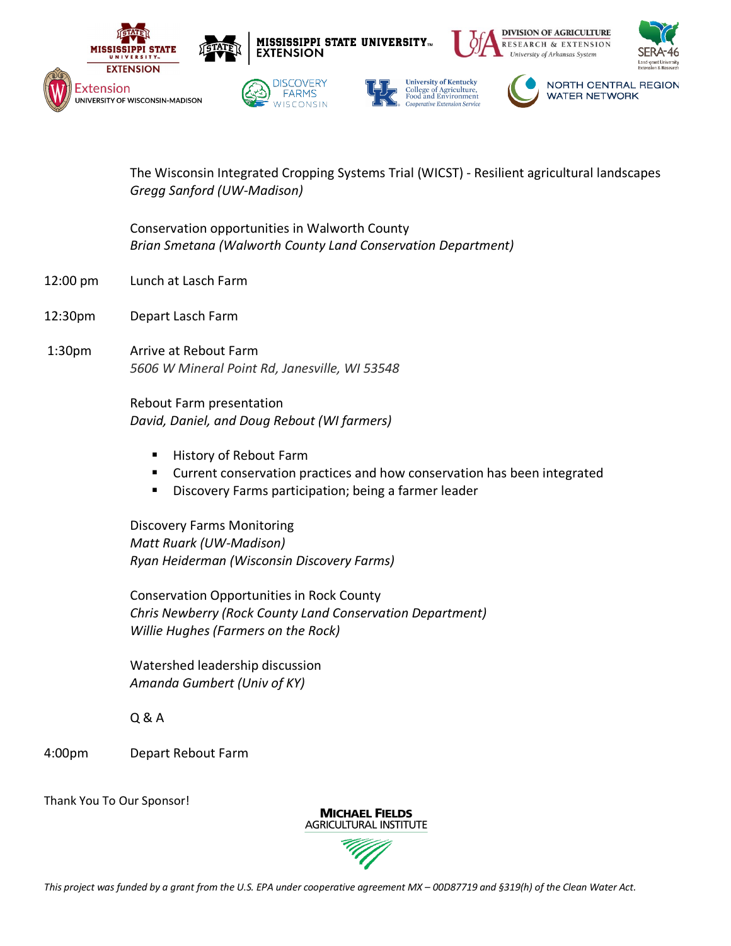

The Wisconsin Integrated Cropping Systems Trial (WICST) - Resilient agricultural landscapes *Gregg Sanford (UW-Madison)*

Conservation opportunities in Walworth County *Brian Smetana (Walworth County Land Conservation Department)*

- 12:00 pm Lunch at Lasch Farm
- 12:30pm Depart Lasch Farm
- 1:30pm Arrive at Rebout Farm *5606 W Mineral Point Rd, Janesville, WI 53548*

Rebout Farm presentation *David, Daniel, and Doug Rebout (WI farmers)*

- History of Rebout Farm
- Current conservation practices and how conservation has been integrated
- Discovery Farms participation; being a farmer leader

Discovery Farms Monitoring *Matt Ruark (UW-Madison) Ryan Heiderman (Wisconsin Discovery Farms)*

Conservation Opportunities in Rock County *Chris Newberry (Rock County Land Conservation Department) Willie Hughes (Farmers on the Rock)*

Watershed leadership discussion *Amanda Gumbert (Univ of KY)*

Q & A

4:00pm Depart Rebout Farm

Thank You To Our Sponsor!

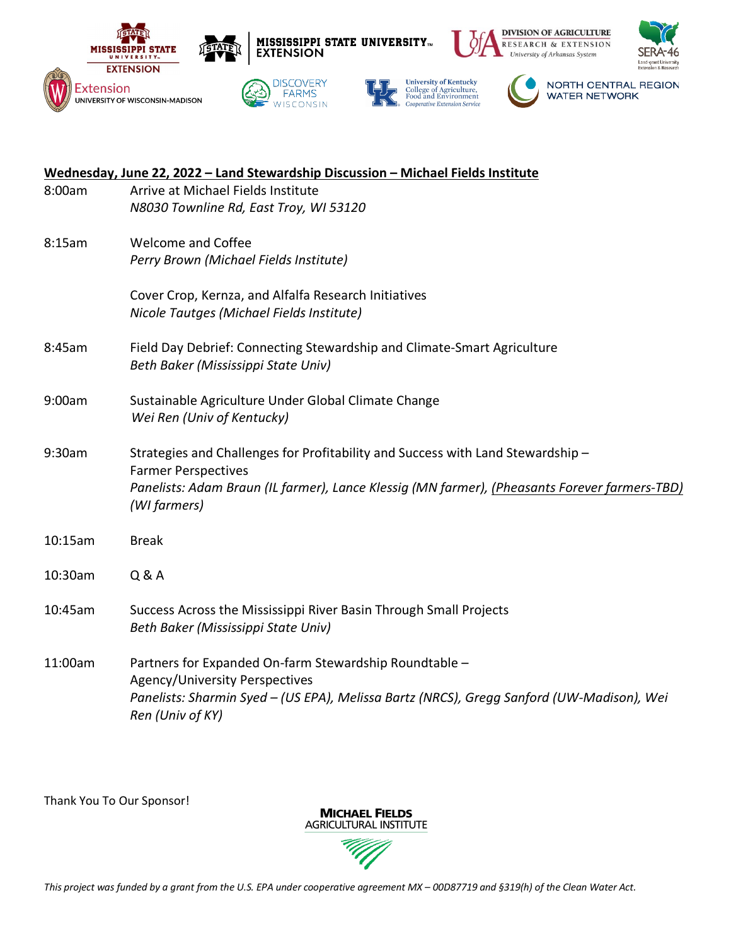

| Wednesday, June 22, 2022 - Land Stewardship Discussion - Michael Fields Institute |                                                                                                               |
|-----------------------------------------------------------------------------------|---------------------------------------------------------------------------------------------------------------|
| 8:00am                                                                            | Arrive at Michael Fields Institute                                                                            |
|                                                                                   | N8030 Townline Rd, East Troy, WI 53120                                                                        |
| 8:15am                                                                            | <b>Welcome and Coffee</b>                                                                                     |
|                                                                                   | Perry Brown (Michael Fields Institute)                                                                        |
|                                                                                   | Cover Crop, Kernza, and Alfalfa Research Initiatives                                                          |
|                                                                                   | Nicole Tautges (Michael Fields Institute)                                                                     |
| 8:45am                                                                            | Field Day Debrief: Connecting Stewardship and Climate-Smart Agriculture                                       |
|                                                                                   | Beth Baker (Mississippi State Univ)                                                                           |
| 9:00am                                                                            | Sustainable Agriculture Under Global Climate Change                                                           |
|                                                                                   | Wei Ren (Univ of Kentucky)                                                                                    |
| 9:30am                                                                            | Strategies and Challenges for Profitability and Success with Land Stewardship -                               |
|                                                                                   | <b>Farmer Perspectives</b>                                                                                    |
|                                                                                   | Panelists: Adam Braun (IL farmer), Lance Klessig (MN farmer), (Pheasants Forever farmers-TBD)<br>(WI farmers) |
|                                                                                   |                                                                                                               |
| 10:15am                                                                           | <b>Break</b>                                                                                                  |
| 10:30am                                                                           | Q & A                                                                                                         |
| 10:45am                                                                           | Success Across the Mississippi River Basin Through Small Projects                                             |
|                                                                                   | Beth Baker (Mississippi State Univ)                                                                           |
| 11:00am                                                                           | Partners for Expanded On-farm Stewardship Roundtable -                                                        |
|                                                                                   | Agency/University Perspectives                                                                                |
|                                                                                   | Panelists: Sharmin Syed - (US EPA), Melissa Bartz (NRCS), Gregg Sanford (UW-Madison), Wei<br>Ren (Univ of KY) |
|                                                                                   |                                                                                                               |

Thank You To Our Sponsor!

**MICHAEL FIELDS AGRICULTURAL INSTITUTE**